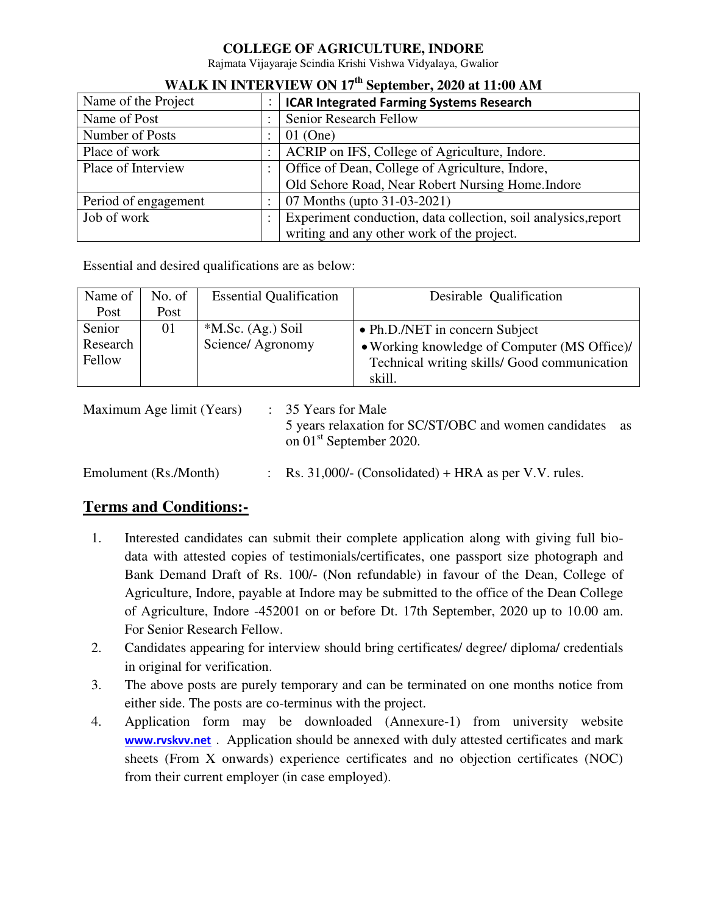### **COLLEGE OF AGRICULTURE, INDORE**

Rajmata Vijayaraje Scindia Krishi Vishwa Vidyalaya, Gwalior

| Name of the Project  | <b>ICAR Integrated Farming Systems Research</b>                |  |  |
|----------------------|----------------------------------------------------------------|--|--|
| Name of Post         | <b>Senior Research Fellow</b>                                  |  |  |
| Number of Posts      | $01$ (One)                                                     |  |  |
| Place of work        | ACRIP on IFS, College of Agriculture, Indore.                  |  |  |
| Place of Interview   | Office of Dean, College of Agriculture, Indore,                |  |  |
|                      | Old Sehore Road, Near Robert Nursing Home. Indore              |  |  |
| Period of engagement | 07 Months (upto 31-03-2021)                                    |  |  |
| Job of work          | Experiment conduction, data collection, soil analysics, report |  |  |
|                      | writing and any other work of the project.                     |  |  |

# **WALK IN INTERVIEW ON 17th September, 2020 at 11:00 AM**

Essential and desired qualifications are as below:

| Name of  | No. of | <b>Essential Qualification</b> | Desirable Qualification                      |  |  |
|----------|--------|--------------------------------|----------------------------------------------|--|--|
| Post     | Post   |                                |                                              |  |  |
| Senior   | 01     | $*$ M.Sc. (Ag.) Soil           | • Ph.D./NET in concern Subject               |  |  |
| Research |        | Science/ Agronomy              | • Working knowledge of Computer (MS Office)/ |  |  |
| Fellow   |        |                                | Technical writing skills/ Good communication |  |  |
|          |        |                                | skill.                                       |  |  |

| Maximum Age limit (Years) | $\therefore$ 35 Years for Male<br>5 years relaxation for SC/ST/OBC and women candidates<br>on 01 <sup>st</sup> September 2020. | as |
|---------------------------|--------------------------------------------------------------------------------------------------------------------------------|----|
| Emolument (Rs./Month)     | $\therefore$ Rs. 31,000/- (Consolidated) + HRA as per V.V. rules.                                                              |    |

## **Terms and Conditions:-**

- 1. Interested candidates can submit their complete application along with giving full biodata with attested copies of testimonials/certificates, one passport size photograph and Bank Demand Draft of Rs. 100/- (Non refundable) in favour of the Dean, College of Agriculture, Indore, payable at Indore may be submitted to the office of the Dean College of Agriculture, Indore -452001 on or before Dt. 17th September, 2020 up to 10.00 am. For Senior Research Fellow.
- 2. Candidates appearing for interview should bring certificates/ degree/ diploma/ credentials in original for verification.
- 3. The above posts are purely temporary and can be terminated on one months notice from either side. The posts are co-terminus with the project.
- 4. Application form may be downloaded (Annexure-1) from university website **[www.rvskvv.net](http://www.rvskvv.net/)** . Application should be annexed with duly attested certificates and mark sheets (From X onwards) experience certificates and no objection certificates (NOC) from their current employer (in case employed).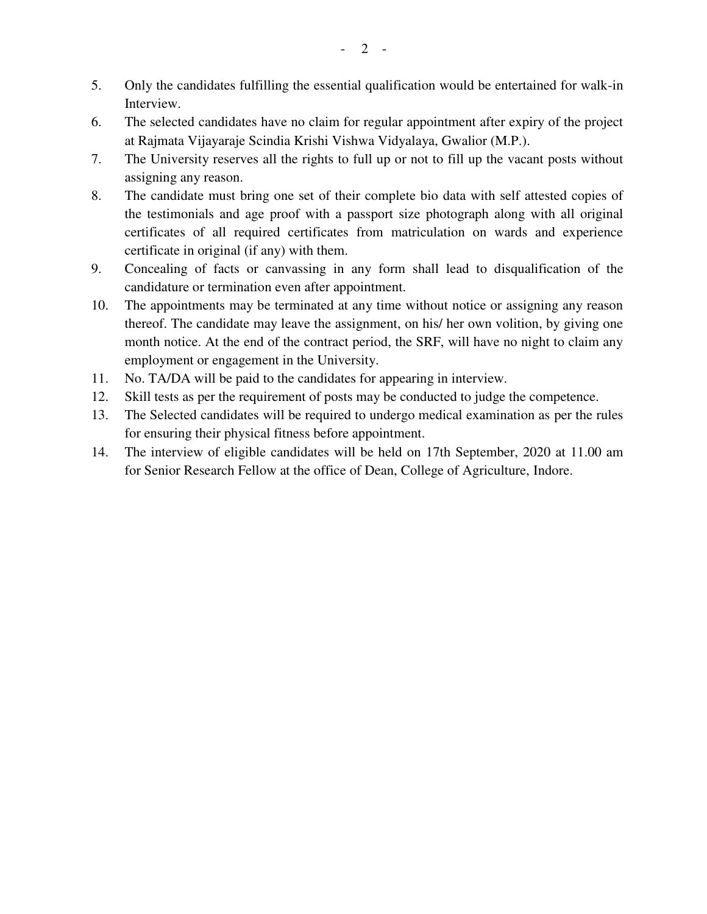- 5. Only the candidates fulfilling the essential qualification would be entertained for walk-in **Interview.**
- 6. The selected candidates have no claim for regular appointment after expiry of the project at Rajmata Vijayaraje Scindia Krishi Vishwa Vidyalaya, Gwalior (M.P.).
- 7. The University reserves all the rights to full up or not to fill up the vacant posts without assigning any reason.
- 8. The candidate must bring one set of their complete bio data with self attested copies of the testimonials and age proof with a passport size photograph along with all original certificates of all required certificates from matriculation on wards and experience certificate in original (if any) with them.
- 9. Concealing of facts or canvassing in any form shall lead to disqualification of the candidature or termination even after appointment.
- 10. The appointments may be terminated at any time without notice or assigning any reason thereof. The candidate may leave the assignment, on his/ her own volition, by giving one month notice. At the end of the contract period, the SRF, will have no night to claim any employment or engagement in the University.
- 11. No. TA/DA will be paid to the candidates for appearing in interview.
- 12. Skill tests as per the requirement of posts may be conducted to judge the competence.
- 13. The Selected candidates will be required to undergo medical examination as per the rules for ensuring their physical fitness before appointment.
- 14. The interview of eligible candidates will be held on 17th September, 2020 at 11.00 am for Senior Research Fellow at the office of Dean, College of Agriculture, Indore.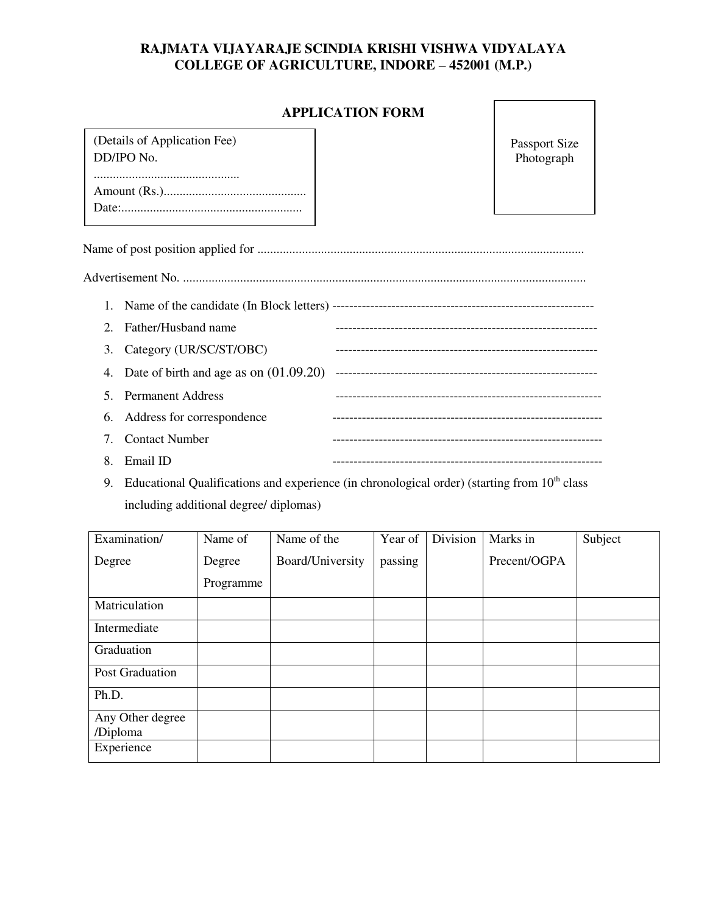### **RAJMATA VIJAYARAJE SCINDIA KRISHI VISHWA VIDYALAYA COLLEGE OF AGRICULTURE, INDORE – 452001 (M.P.)**

## **APPLICATION FORM**

| (Details of Application Fee) |
|------------------------------|
| DD/IPO No.                   |
|                              |
|                              |
|                              |
|                              |
|                              |

Passport Size Photograph

|--|--|

|--|--|

|    | 2. Father/Husband name                      |  |
|----|---------------------------------------------|--|
|    | 3. Category (UR/SC/ST/OBC)                  |  |
|    | 4. Date of birth and age as on $(01.09.20)$ |  |
|    | 5. Permanent Address                        |  |
|    | 6. Address for correspondence               |  |
|    | 7. Contact Number                           |  |
| 8. | Email ID                                    |  |

9. Educational Qualifications and experience (in chronological order) (starting from  $10<sup>th</sup>$  class including additional degree/ diplomas)

| Examination/                 | Name of   | Name of the      | Year of | Division | Marks in     | Subject |
|------------------------------|-----------|------------------|---------|----------|--------------|---------|
| Degree                       | Degree    | Board/University | passing |          | Precent/OGPA |         |
|                              | Programme |                  |         |          |              |         |
| Matriculation                |           |                  |         |          |              |         |
| Intermediate                 |           |                  |         |          |              |         |
| Graduation                   |           |                  |         |          |              |         |
| Post Graduation              |           |                  |         |          |              |         |
| Ph.D.                        |           |                  |         |          |              |         |
| Any Other degree<br>/Diploma |           |                  |         |          |              |         |
| Experience                   |           |                  |         |          |              |         |